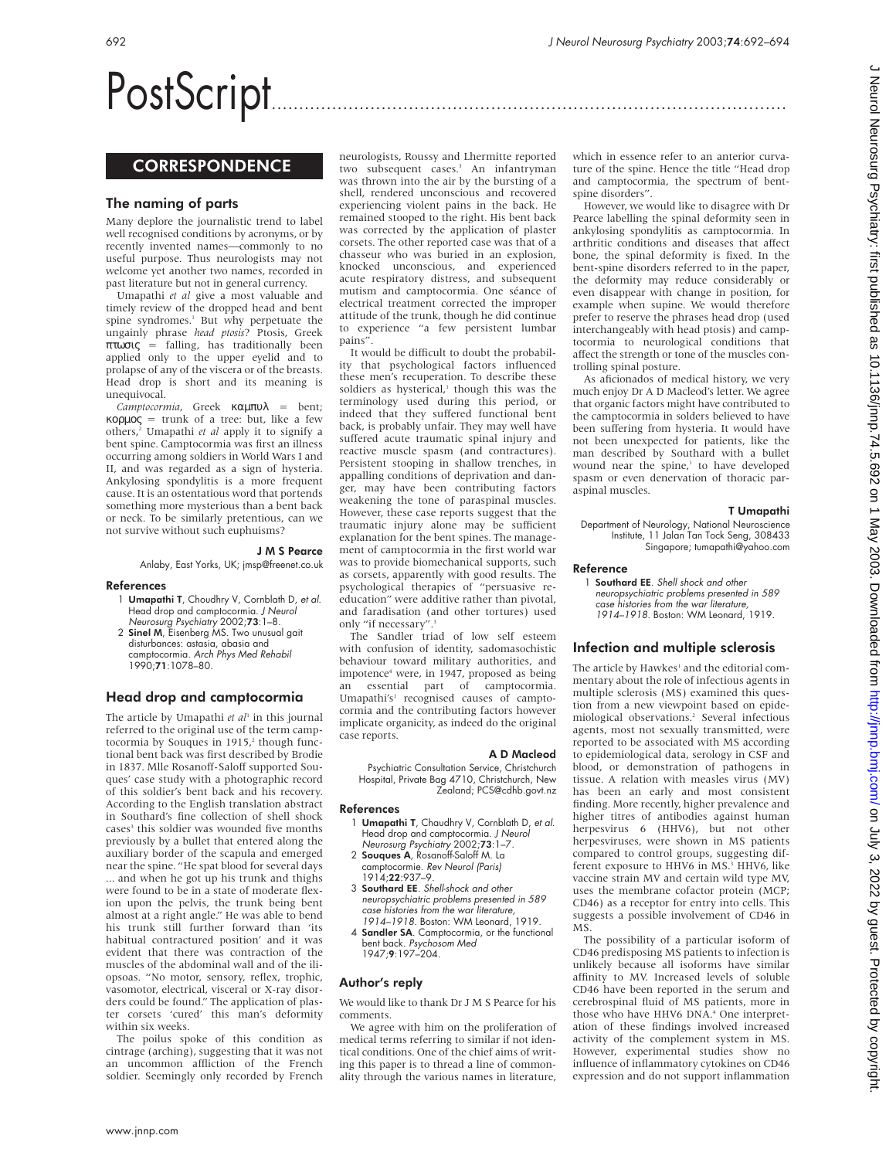# PostScript..............................................................................................

## **CORRESPONDENCE**

## The naming of parts

Many deplore the journalistic trend to label well recognised conditions by acronyms, or by recently invented names—commonly to no useful purpose. Thus neurologists may not welcome yet another two names, recorded in past literature but not in general currency.

Umapathi *et al* give a most valuable and timely review of the dropped head and bent spine syndromes.<sup>1</sup> But why perpetuate the ungainly phrase *head ptosis*? Ptosis, Greek πτωσις = falling, has traditionally been applied only to the upper eyelid and to prolapse of any of the viscera or of the breasts. Head drop is short and its meaning is unequivocal.

*Camptocormia*, Greek καµπυλ = bent; κορµος = trunk of a tree: but, like a few others,2 Umapathi *et al* apply it to signify a bent spine. Camptocormia was first an illness occurring among soldiers in World Wars I and II, and was regarded as a sign of hysteria. Ankylosing spondylitis is a more frequent cause. It is an ostentatious word that portends something more mysterious than a bent back or neck. To be similarly pretentious, can we not survive without such euphuisms?

#### J M S Pearce

Anlaby, East Yorks, UK; jmsp@freenet.co.uk

#### References

- 1 Umapathi T, Choudhry V, Cornblath D, et al. Head drop and camptocormia. J Neurol Neurosurg Psychiatry 2002;73:1–8.
- 2 Sinel M, Eisenberg MS. Two unusual gait disturbances: astasia, abasia and camptocormia. Arch Phys Med Rehabil 1990;71:1078–80.

## Head drop and camptocormia

The article by Umapathi et al<sup>1</sup> in this journal referred to the original use of the term camptocormia by Souques in  $1915$ ,<sup>2</sup> though functional bent back was first described by Brodie in 1837. Mlle Rosanoff-Saloff supported Souques' case study with a photographic record of this soldier's bent back and his recovery. According to the English translation abstract in Southard's fine collection of shell shock cases<sup>3</sup> this soldier was wounded five months previously by a bullet that entered along the auxiliary border of the scapula and emerged near the spine. "He spat blood for several days ... and when he got up his trunk and thighs were found to be in a state of moderate flexion upon the pelvis, the trunk being bent almost at a right angle." He was able to bend his trunk still further forward than 'its habitual contractured position' and it was evident that there was contraction of the muscles of the abdominal wall and of the iliopsoas. "No motor, sensory, reflex, trophic, vasomotor, electrical, visceral or X-ray disorders could be found." The application of plaster corsets 'cured' this man's deformity within six weeks.

The poilus spoke of this condition as cintrage (arching), suggesting that it was not an uncommon affliction of the French soldier. Seemingly only recorded by French

neurologists, Roussy and Lhermitte reported two subsequent cases.<sup>3</sup> An infantryman was thrown into the air by the bursting of a shell, rendered unconscious and recovered experiencing violent pains in the back. He remained stooped to the right. His bent back was corrected by the application of plaster corsets. The other reported case was that of a chasseur who was buried in an explosion, knocked unconscious, and experienced acute respiratory distress, and subsequent mutism and camptocormia. One séance of electrical treatment corrected the improper attitude of the trunk, though he did continue to experience "a few persistent lumbar pains".

It would be difficult to doubt the probability that psychological factors influenced these men's recuperation. To describe these soldiers as hysterical,<sup>1</sup> though this was the terminology used during this period, or indeed that they suffered functional bent back, is probably unfair. They may well have suffered acute traumatic spinal injury and reactive muscle spasm (and contractures). Persistent stooping in shallow trenches, in appalling conditions of deprivation and danger, may have been contributing factors weakening the tone of paraspinal muscles. However, these case reports suggest that the traumatic injury alone may be sufficient explanation for the bent spines. The management of camptocormia in the first world war was to provide biomechanical supports, such as corsets, apparently with good results. The psychological therapies of "persuasive reeducation" were additive rather than pivotal, and faradisation (and other tortures) used only "if necessary".

The Sandler triad of low self esteem with confusion of identity, sadomasochistic behaviour toward military authorities, and impotence<sup>4</sup> were, in 1947, proposed as being an essential part of camptocormia. Umapathi's<sup>1</sup> recognised causes of camptocormia and the contributing factors however implicate organicity, as indeed do the original case reports.

#### A D Macleod

Psychiatric Consultation Service, Christchurch Hospital, Private Bag 4710, Christchurch, New Zealand; PCS@cdhb.govt.nz

#### References

- 1 Umapathi T, Chaudhry V, Cornblath D, et al. Head drop and camptocormia. J Neurol Neurosurg Psychiatry 2002;73:1–7.
- 2 Souques A, Rosanoff-Saloff M. La camptocormie. Rev Neurol (Paris)
- 1914;**22**:937–9. 3 Southard EE. Shell-shock and other
- neuropsychiatric problems presented in 589 case histories from the war literature, 1914–1918. Boston: WM Leonard, 1919.
- 4 Sandler SA. Camptocormia, or the functional bent back. Psychosom Med 1947;9:197–204.

#### Author's reply

We would like to thank Dr J M S Pearce for his comments.

We agree with him on the proliferation of medical terms referring to similar if not identical conditions. One of the chief aims of writing this paper is to thread a line of commonality through the various names in literature,

which in essence refer to an anterior curvature of the spine. Hence the title "Head drop and camptocormia, the spectrum of bentspine disorders".

However, we would like to disagree with Dr Pearce labelling the spinal deformity seen in ankylosing spondylitis as camptocormia. In arthritic conditions and diseases that affect bone, the spinal deformity is fixed. In the bent-spine disorders referred to in the paper, the deformity may reduce considerably or even disappear with change in position, for example when supine. We would therefore prefer to reserve the phrases head drop (used interchangeably with head ptosis) and camptocormia to neurological conditions that affect the strength or tone of the muscles controlling spinal posture.

As aficionados of medical history, we very much enjoy Dr A D Macleod's letter. We agree that organic factors might have contributed to the camptocormia in solders believed to have been suffering from hysteria. It would have not been unexpected for patients, like the man described by Southard with a bullet wound near the spine,<sup>1</sup> to have developed spasm or even denervation of thoracic paraspinal muscles.

#### T Umapathi

Department of Neurology, National Neuroscience Institute, 11 Jalan Tan Tock Seng, 308433 Singapore; tumapathi@yahoo.com

#### Reference

1 Southard EE. Shell shock and other neuropsychiatric problems presented in 589 case histories from the war literature, 1914–1918. Boston: WM Leonard, 1919.

## Infection and multiple sclerosis

The article by Hawkes<sup>1</sup> and the editorial commentary about the role of infectious agents in multiple sclerosis (MS) examined this question from a new viewpoint based on epidemiological observations.2 Several infectious agents, most not sexually transmitted, were reported to be associated with MS according to epidemiological data, serology in CSF and blood, or demonstration of pathogens in tissue. A relation with measles virus (MV) has been an early and most consistent finding. More recently, higher prevalence and higher titres of antibodies against human herpesvirus 6 (HHV6), but not other herpesviruses, were shown in MS patients compared to control groups, suggesting different exposure to HHV6 in MS.<sup>3</sup> HHV6, like vaccine strain MV and certain wild type MV, uses the membrane cofactor protein (MCP; CD46) as a receptor for entry into cells. This suggests a possible involvement of CD46 in MS.

The possibility of a particular isoform of CD46 predisposing MS patients to infection is unlikely because all isoforms have similar affinity to MV. Increased levels of soluble CD46 have been reported in the serum and cerebrospinal fluid of MS patients, more in those who have HHV6 DNA.<sup>4</sup> One interpretation of these findings involved increased activity of the complement system in MS. However, experimental studies show no influence of inflammatory cytokines on CD46 expression and do not support inflammation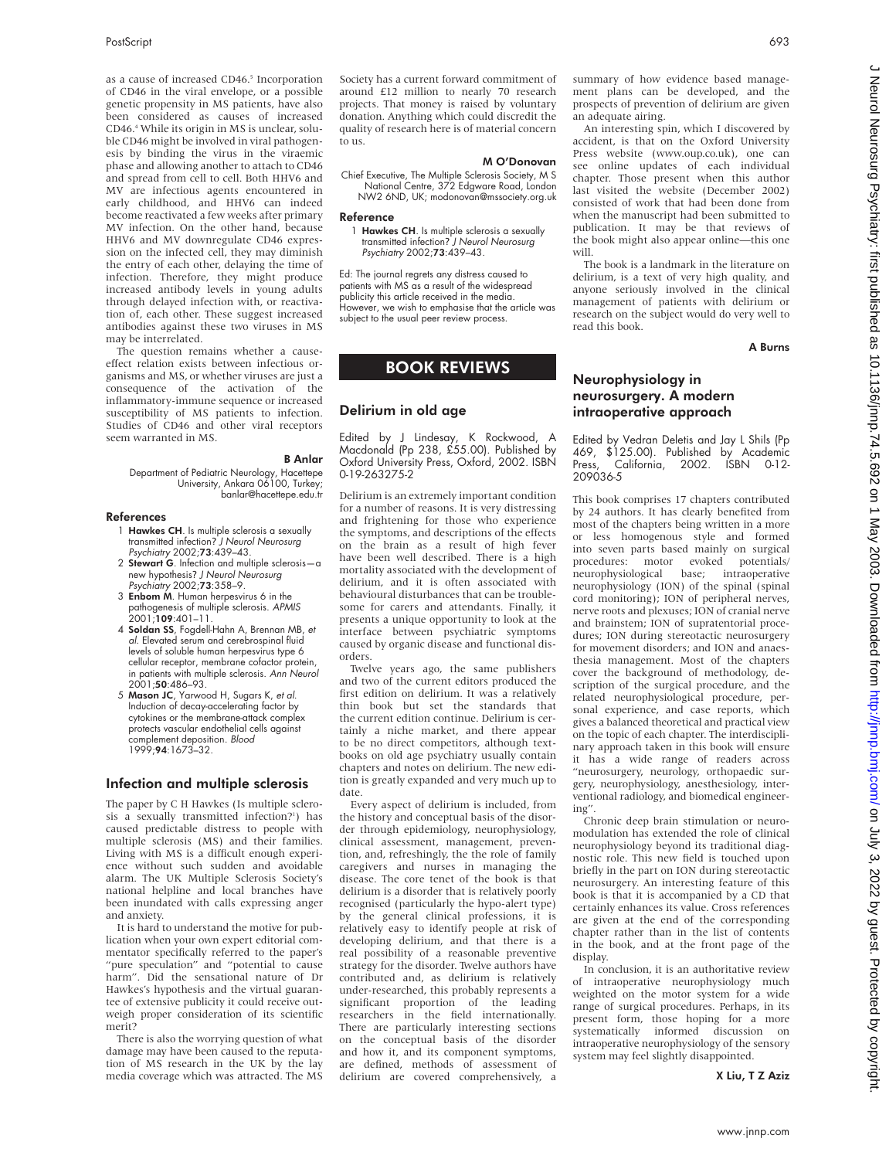as a cause of increased CD46.<sup>5</sup> Incorporation of CD46 in the viral envelope, or a possible genetic propensity in MS patients, have also been considered as causes of increased CD46.4 While its origin in MS is unclear, soluble CD46 might be involved in viral pathogenesis by binding the virus in the viraemic phase and allowing another to attach to CD46 and spread from cell to cell. Both HHV6 and MV are infectious agents encountered in early childhood, and HHV6 can indeed become reactivated a few weeks after primary MV infection. On the other hand, because HHV6 and MV downregulate CD46 expression on the infected cell, they may diminish the entry of each other, delaying the time of infection. Therefore, they might produce increased antibody levels in young adults through delayed infection with, or reactivation of, each other. These suggest increased antibodies against these two viruses in MS may be interrelated.

The question remains whether a causeeffect relation exists between infectious organisms and MS, or whether viruses are just a consequence of the activation of the inflammatory-immune sequence or increased susceptibility of MS patients to infection. Studies of CD46 and other viral receptors seem warranted in MS.

#### B Anlar

Department of Pediatric Neurology, Hacettepe University, Ankara 06100, Turkey; banlar@hacettepe.edu.tr

#### References

- 1 **Hawkes CH**. Is multiple sclerosis a sexually transmitted infection? J Neurol Neurosurg Psychiatry 2002;73:439–43.
- 2 Stewart G. Infection and multiple sclerosis-a new hypothesis? J Neurol Neurosurg Psychiatry 2002;73:358–9.
- 3 Enbom M. Human herpesvirus 6 in the pathogenesis of multiple sclerosis. APMIS  $2001$ ;109:401–11.
- 4 Soldan SS, Fogdell-Hahn A, Brennan MB, et al. Elevated serum and cerebrospinal fluid levels of soluble human herpesvirus type 6 cellular receptor, membrane cofactor protein, in patients with multiple sclerosis. Ann Neurol 2001;50:486–93.
- 5 Mason JC, Yarwood H, Sugars K, et al. Induction of decay-accelerating factor by cytokines or the membrane-attack complex protects vascular endothelial cells against complement deposition. Blood 1999;94:1673–32.

### Infection and multiple sclerosis

The paper by C H Hawkes (Is multiple sclerosis a sexually transmitted infection?<sup>1</sup>) has caused predictable distress to people with multiple sclerosis (MS) and their families. Living with MS is a difficult enough experience without such sudden and avoidable alarm. The UK Multiple Sclerosis Society's national helpline and local branches have been inundated with calls expressing anger and anxiety.

It is hard to understand the motive for publication when your own expert editorial commentator specifically referred to the paper's "pure speculation" and "potential to cause harm". Did the sensational nature of Dr Hawkes's hypothesis and the virtual guarantee of extensive publicity it could receive outweigh proper consideration of its scientific merit?

There is also the worrying question of what damage may have been caused to the reputation of MS research in the UK by the lay media coverage which was attracted. The MS Society has a current forward commitment of around £12 million to nearly 70 research projects. That money is raised by voluntary donation. Anything which could discredit the quality of research here is of material concern to us.

#### M O'Donovan

Chief Executive, The Multiple Sclerosis Society, M S National Centre, 372 Edgware Road, London NW2 6ND, UK; modonovan@mssociety.org.uk

#### Reference

1 Hawkes CH. Is multiple sclerosis a sexually transmitted infection? J Neurol Neurosurg Psychiatry 2002;73:439–43.

Ed: The journal regrets any distress caused to patients with MS as a result of the widespread publicity this article received in the media. However, we wish to emphasise that the article was subject to the usual peer review process.

## BOOK REVIEWS

## Delirium in old age

Edited by J Lindesay, K Rockwood, A Macdonald (Pp 238, £55.00). Published by Oxford University Press, Oxford, 2002. ISBN 0-19-263275-2

Delirium is an extremely important condition for a number of reasons. It is very distressing and frightening for those who experience the symptoms, and descriptions of the effects on the brain as a result of high fever have been well described. There is a high mortality associated with the development of delirium, and it is often associated with behavioural disturbances that can be troublesome for carers and attendants. Finally, it presents a unique opportunity to look at the interface between psychiatric symptoms caused by organic disease and functional disorders.

Twelve years ago, the same publishers and two of the current editors produced the first edition on delirium. It was a relatively thin book but set the standards that the current edition continue. Delirium is certainly a niche market, and there appear to be no direct competitors, although textbooks on old age psychiatry usually contain chapters and notes on delirium. The new edition is greatly expanded and very much up to date.

Every aspect of delirium is included, from the history and conceptual basis of the disorder through epidemiology, neurophysiology, clinical assessment, management, prevention, and, refreshingly, the the role of family caregivers and nurses in managing the disease. The core tenet of the book is that delirium is a disorder that is relatively poorly recognised (particularly the hypo-alert type) by the general clinical professions, it is relatively easy to identify people at risk of developing delirium, and that there is a real possibility of a reasonable preventive strategy for the disorder. Twelve authors have contributed and, as delirium is relatively under-researched, this probably represents a significant proportion of the leading researchers in the field internationally. There are particularly interesting sections on the conceptual basis of the disorder and how it, and its component symptoms, are defined, methods of assessment of delirium are covered comprehensively, a summary of how evidence based management plans can be developed, and the prospects of prevention of delirium are given an adequate airing.

An interesting spin, which I discovered by accident, is that on the Oxford University Press website (www.oup.co.uk), one can see online updates of each individual chapter. Those present when this author last visited the website (December 2002) consisted of work that had been done from when the manuscript had been submitted to publication. It may be that reviews of the book might also appear online—this one will.

The book is a landmark in the literature on delirium, is a text of very high quality, and anyone seriously involved in the clinical management of patients with delirium or research on the subject would do very well to read this book.

A Burns

## Neurophysiology in neurosurgery. A modern intraoperative approach

Edited by Vedran Deletis and Jay L Shils (Pp 469, \$125.00). Published by Academic California, 2002. ISBN 0-12-209036-5

This book comprises 17 chapters contributed by 24 authors. It has clearly benefited from most of the chapters being written in a more or less homogenous style and formed into seven parts based mainly on surgical procedures: motor evoked potentials/<br>
neurophysiological base: intraoperative neurophysiological base; neurophysiology (ION) of the spinal (spinal cord monitoring); ION of peripheral nerves, nerve roots and plexuses; ION of cranial nerve and brainstem; ION of supratentorial procedures; ION during stereotactic neurosurgery for movement disorders; and ION and anaesthesia management. Most of the chapters cover the background of methodology, description of the surgical procedure, and the related neurophysiological procedure, personal experience, and case reports, which gives a balanced theoretical and practical view on the topic of each chapter. The interdisciplinary approach taken in this book will ensure it has a wide range of readers across "neurosurgery, neurology, orthopaedic surgery, neurophysiology, anesthesiology, interventional radiology, and biomedical engineering".

Chronic deep brain stimulation or neuromodulation has extended the role of clinical neurophysiology beyond its traditional diagnostic role. This new field is touched upon briefly in the part on ION during stereotactic neurosurgery. An interesting feature of this book is that it is accompanied by a CD that certainly enhances its value. Cross references are given at the end of the corresponding chapter rather than in the list of contents in the book, and at the front page of the display.

In conclusion, it is an authoritative review of intraoperative neurophysiology much weighted on the motor system for a wide range of surgical procedures. Perhaps, in its present form, those hoping for a more systematically informed discussion on intraoperative neurophysiology of the sensory system may feel slightly disappointed.

X Liu, T Z Aziz